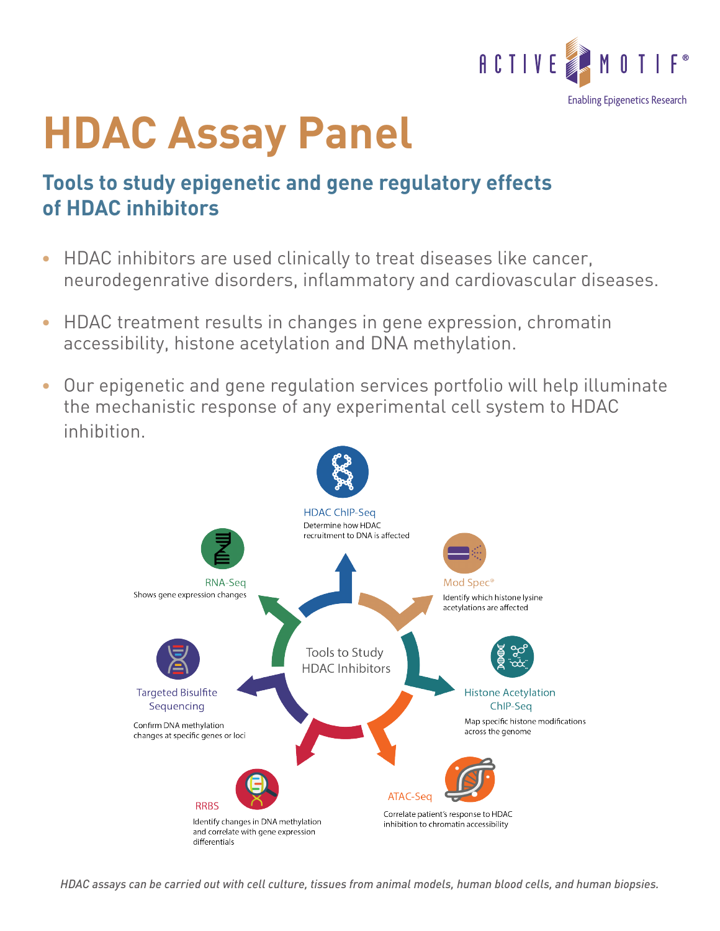

## **HDAC Assay Panel**

## **Tools to study epigenetic and gene regulatory effects of HDAC inhibitors**

- HDAC inhibitors are used clinically to treat diseases like cancer, neurodegenrative disorders, inflammatory and cardiovascular diseases.
- HDAC treatment results in changes in gene expression, chromatin accessibility, histone acetylation and DNA methylation.
- Our epigenetic and gene regulation services portfolio will help illuminate the mechanistic response of any experimental cell system to HDAC inhibition.